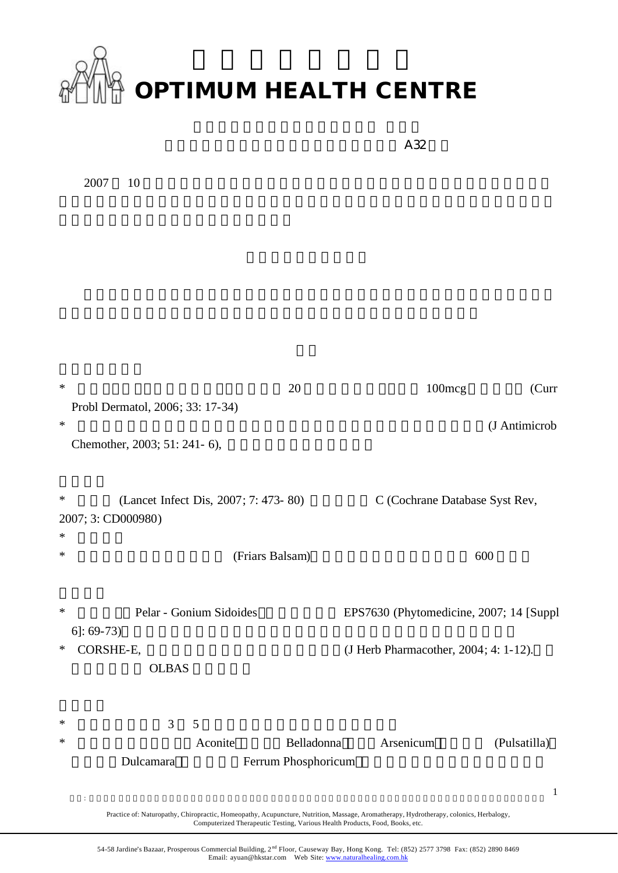

|                                                                 |                                   | A32                                     |               |
|-----------------------------------------------------------------|-----------------------------------|-----------------------------------------|---------------|
| 2007<br>10                                                      |                                   |                                         |               |
|                                                                 |                                   |                                         |               |
|                                                                 |                                   |                                         |               |
|                                                                 |                                   |                                         |               |
|                                                                 |                                   |                                         |               |
|                                                                 |                                   |                                         |               |
|                                                                 |                                   |                                         |               |
|                                                                 |                                   |                                         |               |
| $\ast$<br>Probl Dermatol, 2006; 33: 17-34)                      | 20                                | 100mcg                                  | (Curr         |
| $\ast$                                                          |                                   |                                         | (J Antimicrob |
| Chemother, 2003; 51: 241-6),                                    |                                   |                                         |               |
|                                                                 |                                   |                                         |               |
| (Lancet Infect Dis, 2007; 7: 473-80)<br>∗<br>2007; 3: CD000980) |                                   | C (Cochrane Database Syst Rev,          |               |
| ∗                                                               |                                   |                                         |               |
| ∗                                                               | (Friars Balsam)                   |                                         | 600           |
|                                                                 |                                   |                                         |               |
| $\ast$<br>Pelar - Gonium Sidoides<br>$6$ : 69-73)               |                                   | EPS7630 (Phytomedicine, 2007; 14 [Suppl |               |
| CORSHE-E,<br>∗                                                  |                                   | (J Herb Pharmacother, 2004; 4: 1-12).   |               |
| <b>OLBAS</b>                                                    |                                   |                                         |               |
|                                                                 |                                   |                                         |               |
| 3<br>$\mathfrak{S}$<br>∗<br>∗                                   |                                   |                                         |               |
| Aconite<br>Dulcamara                                            | Belladonna<br>Ferrum Phosphoricum | Arsenicum                               | (Pulsatilla)  |
|                                                                 |                                   |                                         | $\mathbf{1}$  |
| $\ddot{\phantom{a}}$                                            |                                   |                                         |               |

Practice of: Naturopathy, Chiropractic, Homeopathy, Acupuncture, Nutrition, Massage, Aromatherapy, Hydrotherapy, colonics, Herbalogy, Computerized Therapeutic Testing, Various Health Products, Food, Books, etc.